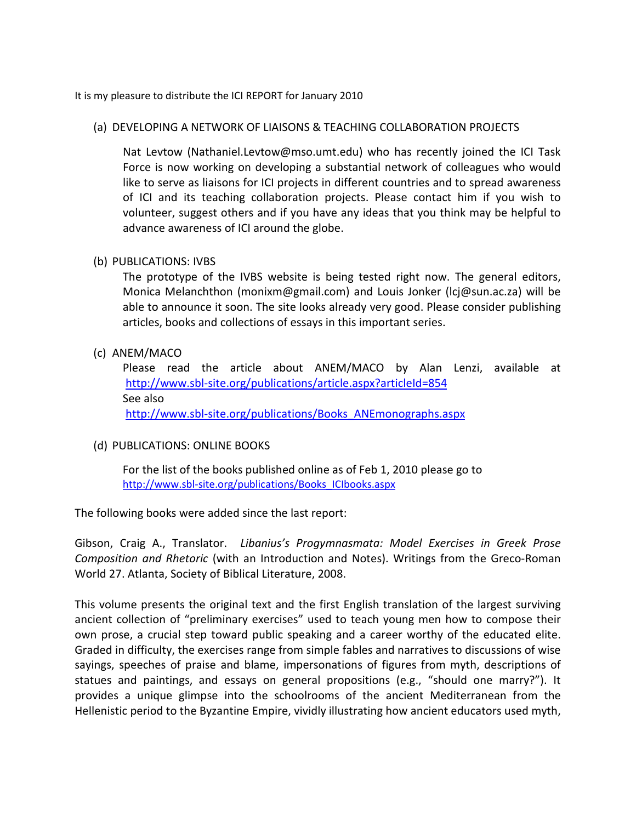It is my pleasure to distribute the ICI REPORT for January 2010

# (a) DEVELOPING A NETWORK OF LIAISONS & TEACHING COLLABORATION PROJECTS

Nat Levtow (Nathaniel.Levtow@mso.umt.edu) who has recently joined the ICI Task Force is now working on developing a substantial network of colleagues who would like to serve as liaisons for ICI projects in different countries and to spread awareness of ICI and its teaching collaboration projects. Please contact him if you wish to volunteer, suggest others and if you have any ideas that you think may be helpful to advance awareness of ICI around the globe.

# (b) PUBLICATIONS: IVBS

The prototype of the IVBS website is being tested right now. The general editors, Monica Melanchthon (monixm@gmail.com) and Louis Jonker (lcj@sun.ac.za) will be able to announce it soon. The site looks already very good. Please consider publishing articles, books and collections of essays in this important series.

# (c) ANEM/MACO

Please read the article about ANEM/MACO by Alan Lenzi, available at <http://www.sbl-site.org/publications/article.aspx?articleId=854> See also [http://www.sbl-site.org/publications/Books\\_ANEmonographs.aspx](http://www.sbl-site.org/publications/Books_ANEmonographs.aspx)

# (d) PUBLICATIONS: ONLINE BOOKS

For the list of the books published online as of Feb 1, 2010 please go to [http://www.sbl-site.org/publications/Books\\_ICIbooks.aspx](http://www.sbl-site.org/publications/Books_ICIbooks.aspx)

The following books were added since the last report:

Gibson, Craig A., Translator. *Libanius's Progymnasmata: Model Exercises in Greek Prose Composition and Rhetoric* (with an Introduction and Notes). Writings from the Greco-Roman World 27. Atlanta, Society of Biblical Literature, 2008.

This volume presents the original text and the first English translation of the largest surviving ancient collection of "preliminary exercises" used to teach young men how to compose their own prose, a crucial step toward public speaking and a career worthy of the educated elite. Graded in difficulty, the exercises range from simple fables and narratives to discussions of wise sayings, speeches of praise and blame, impersonations of figures from myth, descriptions of statues and paintings, and essays on general propositions (e.g., "should one marry?"). It provides a unique glimpse into the schoolrooms of the ancient Mediterranean from the Hellenistic period to the Byzantine Empire, vividly illustrating how ancient educators used myth,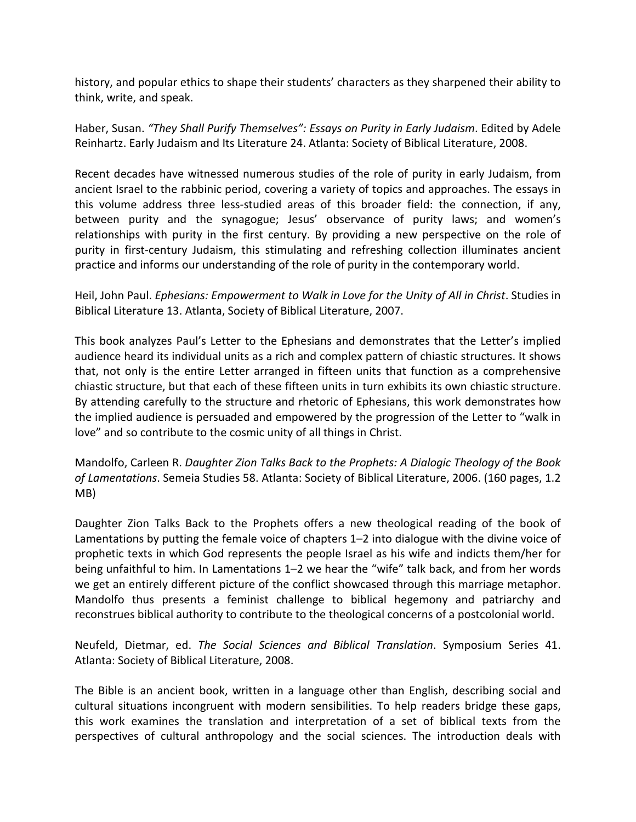history, and popular ethics to shape their students' characters as they sharpened their ability to think, write, and speak.

Haber, Susan. *"They Shall Purify Themselves": Essays on Purity in Early Judaism*. Edited by Adele Reinhartz. Early Judaism and Its Literature 24. Atlanta: Society of Biblical Literature, 2008.

Recent decades have witnessed numerous studies of the role of purity in early Judaism, from ancient Israel to the rabbinic period, covering a variety of topics and approaches. The essays in this volume address three less-studied areas of this broader field: the connection, if any, between purity and the synagogue; Jesus' observance of purity laws; and women's relationships with purity in the first century. By providing a new perspective on the role of purity in first-century Judaism, this stimulating and refreshing collection illuminates ancient practice and informs our understanding of the role of purity in the contemporary world.

Heil, John Paul. *Ephesians: Empowerment to Walk in Love for the Unity of All in Christ*. Studies in Biblical Literature 13. Atlanta, Society of Biblical Literature, 2007.

This book analyzes Paul's Letter to the Ephesians and demonstrates that the Letter's implied audience heard its individual units as a rich and complex pattern of chiastic structures. It shows that, not only is the entire Letter arranged in fifteen units that function as a comprehensive chiastic structure, but that each of these fifteen units in turn exhibits its own chiastic structure. By attending carefully to the structure and rhetoric of Ephesians, this work demonstrates how the implied audience is persuaded and empowered by the progression of the Letter to "walk in love" and so contribute to the cosmic unity of all things in Christ.

Mandolfo, Carleen R. *Daughter Zion Talks Back to the Prophets: A Dialogic Theology of the Book of Lamentations*. Semeia Studies 58. Atlanta: Society of Biblical Literature, 2006. (160 pages, 1.2 MB)

Daughter Zion Talks Back to the Prophets offers a new theological reading of the book of Lamentations by putting the female voice of chapters 1–2 into dialogue with the divine voice of prophetic texts in which God represents the people Israel as his wife and indicts them/her for being unfaithful to him. In Lamentations 1–2 we hear the "wife" talk back, and from her words we get an entirely different picture of the conflict showcased through this marriage metaphor. Mandolfo thus presents a feminist challenge to biblical hegemony and patriarchy and reconstrues biblical authority to contribute to the theological concerns of a postcolonial world.

Neufeld, Dietmar, ed. *The Social Sciences and Biblical Translation*. Symposium Series 41. Atlanta: Society of Biblical Literature, 2008.

The Bible is an ancient book, written in a language other than English, describing social and cultural situations incongruent with modern sensibilities. To help readers bridge these gaps, this work examines the translation and interpretation of a set of biblical texts from the perspectives of cultural anthropology and the social sciences. The introduction deals with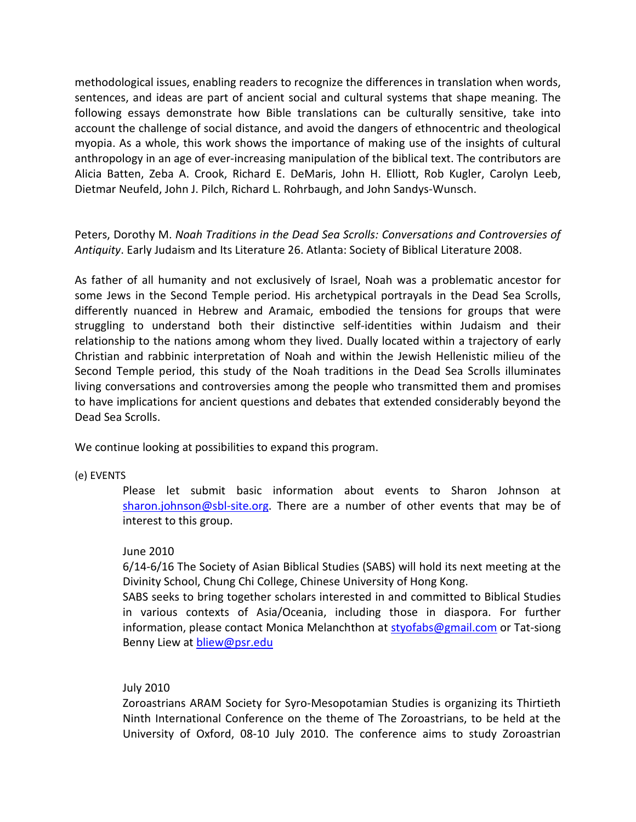methodological issues, enabling readers to recognize the differences in translation when words, sentences, and ideas are part of ancient social and cultural systems that shape meaning. The following essays demonstrate how Bible translations can be culturally sensitive, take into account the challenge of social distance, and avoid the dangers of ethnocentric and theological myopia. As a whole, this work shows the importance of making use of the insights of cultural anthropology in an age of ever-increasing manipulation of the biblical text. The contributors are Alicia Batten, Zeba A. Crook, Richard E. DeMaris, John H. Elliott, Rob Kugler, Carolyn Leeb, Dietmar Neufeld, John J. Pilch, Richard L. Rohrbaugh, and John Sandys-Wunsch.

Peters, Dorothy M. *Noah Traditions in the Dead Sea Scrolls: Conversations and Controversies of Antiquity*. Early Judaism and Its Literature 26. Atlanta: Society of Biblical Literature 2008.

As father of all humanity and not exclusively of Israel, Noah was a problematic ancestor for some Jews in the Second Temple period. His archetypical portrayals in the Dead Sea Scrolls, differently nuanced in Hebrew and Aramaic, embodied the tensions for groups that were struggling to understand both their distinctive self-identities within Judaism and their relationship to the nations among whom they lived. Dually located within a trajectory of early Christian and rabbinic interpretation of Noah and within the Jewish Hellenistic milieu of the Second Temple period, this study of the Noah traditions in the Dead Sea Scrolls illuminates living conversations and controversies among the people who transmitted them and promises to have implications for ancient questions and debates that extended considerably beyond the Dead Sea Scrolls.

We continue looking at possibilities to expand this program.

### (e) EVENTS

Please let submit basic information about events to Sharon Johnson at [sharon.johnson@sbl-site.org.](mailto:sharon.johnson@sbl-site.org) There are a number of other events that may be of interest to this group.

# June 2010

6/14-6/16 The Society of Asian Biblical Studies (SABS) will hold its next meeting at the Divinity School, Chung Chi College, Chinese University of Hong Kong.

SABS seeks to bring together scholars interested in and committed to Biblical Studies in various contexts of Asia/Oceania, including those in diaspora. For further information, please contact Monica Melanchthon at [styofabs@gmail.com](mailto:styofabs@gmail.com) or Tat-siong Benny Liew at **bliew@psr.edu** 

### July 2010

Zoroastrians ARAM Society for Syro-Mesopotamian Studies is organizing its Thirtieth Ninth International Conference on the theme of The Zoroastrians, to be held at the University of Oxford, 08-10 July 2010. The conference aims to study Zoroastrian